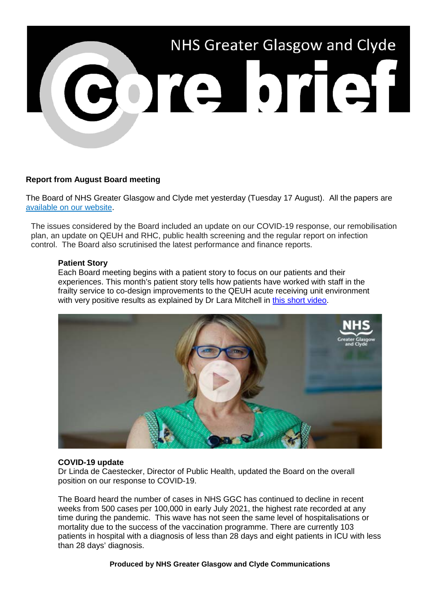

# **Report from August Board meeting**

The Board of NHS Greater Glasgow and Clyde met yesterday (Tuesday 17 August). All the papers are [available on our website.](https://www.nhsggc.org.uk/about-us/nhsggc-board/board-meetings-papers-reports/papers/2021/)

The issues considered by the Board included an update on our COVID-19 response, our remobilisation plan, an update on QEUH and RHC, public health screening and the regular report on infection control. The Board also scrutinised the latest performance and finance reports.

### **Patient Story**

Each Board meeting begins with a patient story to focus on our patients and their experiences. This month's patient story tells how patients have worked with staff in the frailty service to co-design improvements to the QEUH acute receiving unit environment with very positive results as explained by Dr Lara Mitchell in [this short video.](https://www.youtube.com/watch?v=fKVQ-xVUpI8)



#### **COVID-19 update**

Dr Linda de Caestecker, Director of Public Health, updated the Board on the overall position on our response to COVID-19.

The Board heard the number of cases in NHS GGC has continued to decline in recent weeks from 500 cases per 100,000 in early July 2021, the highest rate recorded at any time during the pandemic. This wave has not seen the same level of hospitalisations or mortality due to the success of the vaccination programme. There are currently 103 patients in hospital with a diagnosis of less than 28 days and eight patients in ICU with less than 28 days' diagnosis.

**Produced by NHS Greater Glasgow and Clyde Communications**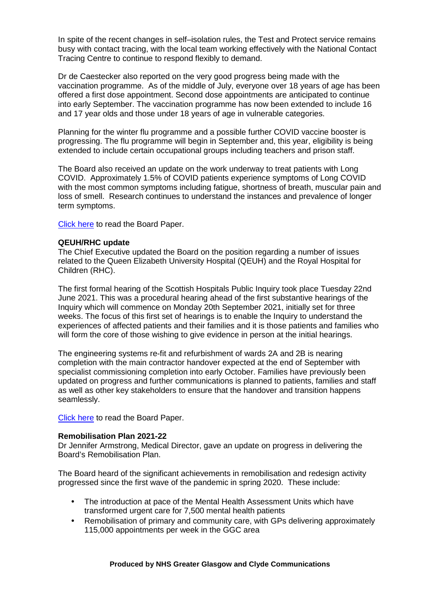In spite of the recent changes in self–isolation rules, the Test and Protect service remains busy with contact tracing, with the local team working effectively with the National Contact Tracing Centre to continue to respond flexibly to demand.

Dr de Caestecker also reported on the very good progress being made with the vaccination programme. As of the middle of July, everyone over 18 years of age has been offered a first dose appointment. Second dose appointments are anticipated to continue into early September. The vaccination programme has now been extended to include 16 and 17 year olds and those under 18 years of age in vulnerable categories.

Planning for the winter flu programme and a possible further COVID vaccine booster is progressing. The flu programme will begin in September and, this year, eligibility is being extended to include certain occupational groups including teachers and prison staff.

The Board also received an update on the work underway to treat patients with Long COVID. Approximately 1.5% of COVID patients experience symptoms of Long COVID with the most common symptoms including fatigue, shortness of breath, muscular pain and loss of smell. Research continues to understand the instances and prevalence of longer term symptoms.

[Click here](https://www.nhsggc.org.uk/media/268674/item-08-paper-21_40-covid19-update.pdf) to read the Board Paper.

### **QEUH/RHC update**

The Chief Executive updated the Board on the position regarding a number of issues related to the Queen Elizabeth University Hospital (QEUH) and the Royal Hospital for Children (RHC).

The first formal hearing of the Scottish Hospitals Public Inquiry took place Tuesday 22nd June 2021. This was a procedural hearing ahead of the first substantive hearings of the Inquiry which will commence on Monday 20th September 2021, initially set for three weeks. The focus of this first set of hearings is to enable the Inquiry to understand the experiences of affected patients and their families and it is those patients and families who will form the core of those wishing to give evidence in person at the initial hearings.

The engineering systems re-fit and refurbishment of wards 2A and 2B is nearing completion with the main contractor handover expected at the end of September with specialist commissioning completion into early October. Families have previously been updated on progress and further communications is planned to patients, families and staff as well as other key stakeholders to ensure that the handover and transition happens seamlessly.

[Click here](https://www.nhsggc.org.uk/media/268675/item-09-paper-21_41-qeuh_rhc-update.pdf) to read the Board Paper.

#### **Remobilisation Plan 2021-22**

Dr Jennifer Armstrong, Medical Director, gave an update on progress in delivering the Board's Remobilisation Plan.

The Board heard of the significant achievements in remobilisation and redesign activity progressed since the first wave of the pandemic in spring 2020. These include:

- The introduction at pace of the Mental Health Assessment Units which have transformed urgent care for 7,500 mental health patients
- Remobilisation of primary and community care, with GPs delivering approximately 115,000 appointments per week in the GGC area

#### **Produced by NHS Greater Glasgow and Clyde Communications**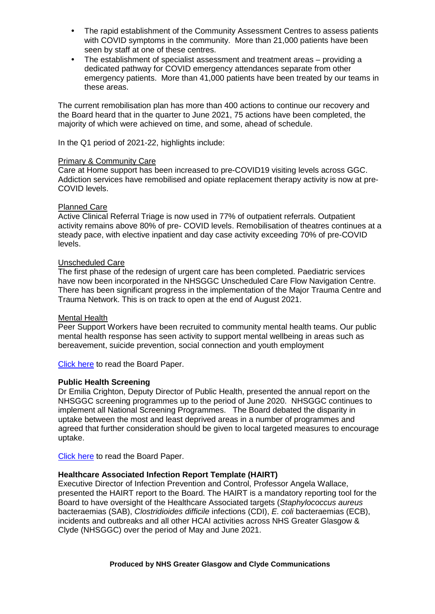- The rapid establishment of the Community Assessment Centres to assess patients with COVID symptoms in the community. More than 21,000 patients have been seen by staff at one of these centres.
- The establishment of specialist assessment and treatment areas providing a dedicated pathway for COVID emergency attendances separate from other emergency patients. More than 41,000 patients have been treated by our teams in these areas.

The current remobilisation plan has more than 400 actions to continue our recovery and the Board heard that in the quarter to June 2021, 75 actions have been completed, the majority of which were achieved on time, and some, ahead of schedule.

In the Q1 period of 2021-22, highlights include:

### Primary & Community Care

Care at Home support has been increased to pre-COVID19 visiting levels across GGC. Addiction services have remobilised and opiate replacement therapy activity is now at pre-COVID levels.

### Planned Care

Active Clinical Referral Triage is now used in 77% of outpatient referrals. Outpatient activity remains above 80% of pre- COVID levels. Remobilisation of theatres continues at a steady pace, with elective inpatient and day case activity exceeding 70% of pre-COVID levels.

### Unscheduled Care

The first phase of the redesign of urgent care has been completed. Paediatric services have now been incorporated in the NHSGGC Unscheduled Care Flow Navigation Centre. There has been significant progress in the implementation of the Major Trauma Centre and Trauma Network. This is on track to open at the end of August 2021.

#### Mental Health

Peer Support Workers have been recruited to community mental health teams. Our public mental health response has seen activity to support mental wellbeing in areas such as bereavement, suicide prevention, social connection and youth employment

[Click here](https://www.nhsggc.org.uk/media/268679/item-13-paper-21_45-rmp3-update.pdf) to read the Board Paper.

#### **Public Health Screening**

Dr Emilia Crighton, Deputy Director of Public Health, presented the annual report on the NHSGGC screening programmes up to the period of June 2020. NHSGGC continues to implement all National Screening Programmes. The Board debated the disparity in uptake between the most and least deprived areas in a number of programmes and agreed that further consideration should be given to local targeted measures to encourage uptake.

[Click here](https://www.nhsggc.org.uk/media/268681/item-15_paper-21_47-public-health-screening-report.pdf) to read the Board Paper.

## **Healthcare Associated Infection Report Template (HAIRT)**

Executive Director of Infection Prevention and Control, Professor Angela Wallace, presented the HAIRT report to the Board. The HAIRT is a mandatory reporting tool for the Board to have oversight of the Healthcare Associated targets (*Staphylococcus aureus*  bacteraemias (SAB), *Clostridioides difficile* infections (CDI), *E. coli* bacteraemias (ECB), incidents and outbreaks and all other HCAI activities across NHS Greater Glasgow & Clyde (NHSGGC) over the period of May and June 2021.